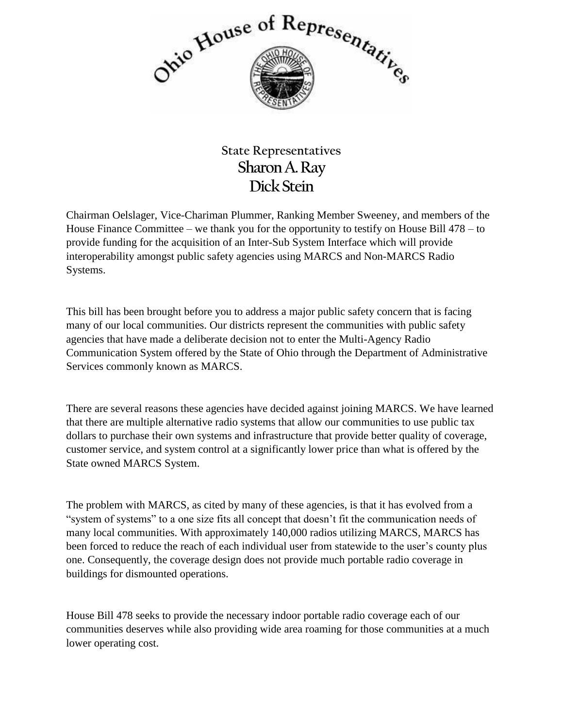

## **State Representatives Sharon A. Ray Dick Stein**

Chairman Oelslager, Vice-Chariman Plummer, Ranking Member Sweeney, and members of the House Finance Committee – we thank you for the opportunity to testify on House Bill 478 – to provide funding for the acquisition of an Inter-Sub System Interface which will provide interoperability amongst public safety agencies using MARCS and Non-MARCS Radio Systems.

This bill has been brought before you to address a major public safety concern that is facing many of our local communities. Our districts represent the communities with public safety agencies that have made a deliberate decision not to enter the Multi-Agency Radio Communication System offered by the State of Ohio through the Department of Administrative Services commonly known as MARCS.

There are several reasons these agencies have decided against joining MARCS. We have learned that there are multiple alternative radio systems that allow our communities to use public tax dollars to purchase their own systems and infrastructure that provide better quality of coverage, customer service, and system control at a significantly lower price than what is offered by the State owned MARCS System.

The problem with MARCS, as cited by many of these agencies, is that it has evolved from a "system of systems" to a one size fits all concept that doesn't fit the communication needs of many local communities. With approximately 140,000 radios utilizing MARCS, MARCS has been forced to reduce the reach of each individual user from statewide to the user's county plus one. Consequently, the coverage design does not provide much portable radio coverage in buildings for dismounted operations.

House Bill 478 seeks to provide the necessary indoor portable radio coverage each of our communities deserves while also providing wide area roaming for those communities at a much lower operating cost.